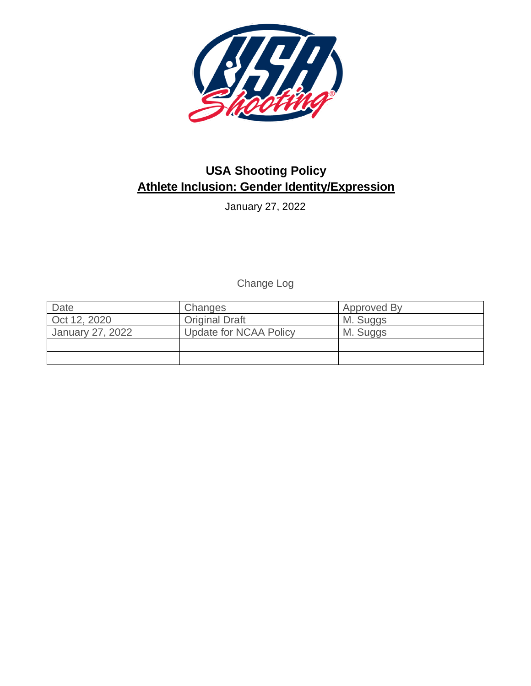

# **USA Shooting Policy Athlete Inclusion: Gender Identity/Expression**

January 27, 2022

Change Log

| Date             | Changes                       | Approved By |
|------------------|-------------------------------|-------------|
| Oct 12, 2020     | <b>Original Draft</b>         | M. Suggs    |
| January 27, 2022 | <b>Update for NCAA Policy</b> | M. Suggs    |
|                  |                               |             |
|                  |                               |             |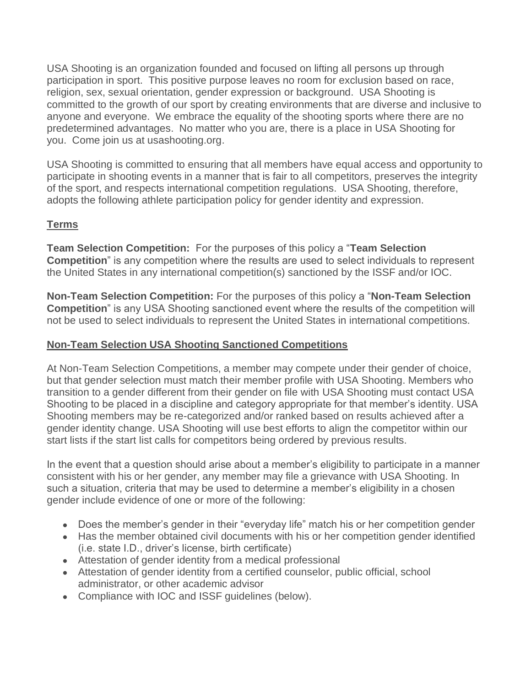USA Shooting is an organization founded and focused on lifting all persons up through participation in sport. This positive purpose leaves no room for exclusion based on race, religion, sex, sexual orientation, gender expression or background. USA Shooting is committed to the growth of our sport by creating environments that are diverse and inclusive to anyone and everyone. We embrace the equality of the shooting sports where there are no predetermined advantages. No matter who you are, there is a place in USA Shooting for you. Come join us at usashooting.org.

USA Shooting is committed to ensuring that all members have equal access and opportunity to participate in shooting events in a manner that is fair to all competitors, preserves the integrity of the sport, and respects international competition regulations. USA Shooting, therefore, adopts the following athlete participation policy for gender identity and expression.

# **Terms**

**Team Selection Competition:** For the purposes of this policy a "**Team Selection Competition**" is any competition where the results are used to select individuals to represent the United States in any international competition(s) sanctioned by the ISSF and/or IOC.

**Non-Team Selection Competition:** For the purposes of this policy a "**Non-Team Selection Competition**" is any USA Shooting sanctioned event where the results of the competition will not be used to select individuals to represent the United States in international competitions.

### **Non-Team Selection USA Shooting Sanctioned Competitions**

At Non-Team Selection Competitions, a member may compete under their gender of choice, but that gender selection must match their member profile with USA Shooting. Members who transition to a gender different from their gender on file with USA Shooting must contact USA Shooting to be placed in a discipline and category appropriate for that member's identity. USA Shooting members may be re-categorized and/or ranked based on results achieved after a gender identity change. USA Shooting will use best efforts to align the competitor within our start lists if the start list calls for competitors being ordered by previous results.

In the event that a question should arise about a member's eligibility to participate in a manner consistent with his or her gender, any member may file a grievance with USA Shooting. In such a situation, criteria that may be used to determine a member's eligibility in a chosen gender include evidence of one or more of the following:

- Does the member's gender in their "everyday life" match his or her competition gender
- Has the member obtained civil documents with his or her competition gender identified (i.e. state I.D., driver's license, birth certificate)
- Attestation of gender identity from a medical professional
- Attestation of gender identity from a certified counselor, public official, school administrator, or other academic advisor
- Compliance with IOC and ISSF guidelines (below).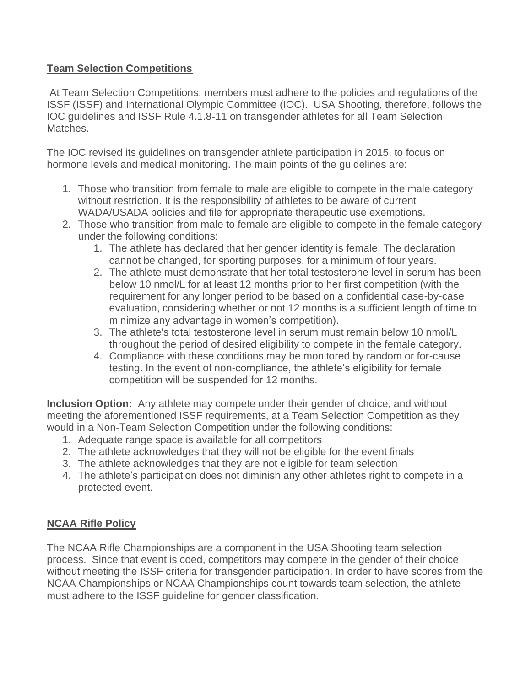## **Team Selection Competitions**

At Team Selection Competitions, members must adhere to the policies and regulations of the ISSF (ISSF) and International Olympic Committee (IOC). USA Shooting, therefore, follows the IOC guidelines and ISSF Rule 4.1.8-11 on transgender athletes for all Team Selection Matches.

The IOC revised its guidelines on transgender athlete participation in 2015, to focus on hormone levels and medical monitoring. The main points of the guidelines are:

- 1. Those who transition from female to male are eligible to compete in the male category without restriction. It is the responsibility of athletes to be aware of current WADA/USADA policies and file for appropriate therapeutic use exemptions.
- 2. Those who transition from male to female are eligible to compete in the female category under the following conditions:
	- 1. The athlete has declared that her gender identity is female. The declaration cannot be changed, for sporting purposes, for a minimum of four years.
	- 2. The athlete must demonstrate that her total testosterone level in serum has been below 10 nmol/L for at least 12 months prior to her first competition (with the requirement for any longer period to be based on a confidential case-by-case evaluation, considering whether or not 12 months is a sufficient length of time to minimize any advantage in women's competition).
	- 3. The athlete's total testosterone level in serum must remain below 10 nmol/L throughout the period of desired eligibility to compete in the female category.
	- 4. Compliance with these conditions may be monitored by random or for-cause testing. In the event of non-compliance, the athlete's eligibility for female competition will be suspended for 12 months.

**Inclusion Option:** Any athlete may compete under their gender of choice, and without meeting the aforementioned ISSF requirements, at a Team Selection Competition as they would in a Non-Team Selection Competition under the following conditions:

- 1. Adequate range space is available for all competitors
- 2. The athlete acknowledges that they will not be eligible for the event finals
- 3. The athlete acknowledges that they are not eligible for team selection
- 4. The athlete's participation does not diminish any other athletes right to compete in a protected event.

# **NCAA Rifle Policy**

The NCAA Rifle Championships are a component in the USA Shooting team selection process. Since that event is coed, competitors may compete in the gender of their choice without meeting the ISSF criteria for transgender participation. In order to have scores from the NCAA Championships or NCAA Championships count towards team selection, the athlete must adhere to the ISSF guideline for gender classification.